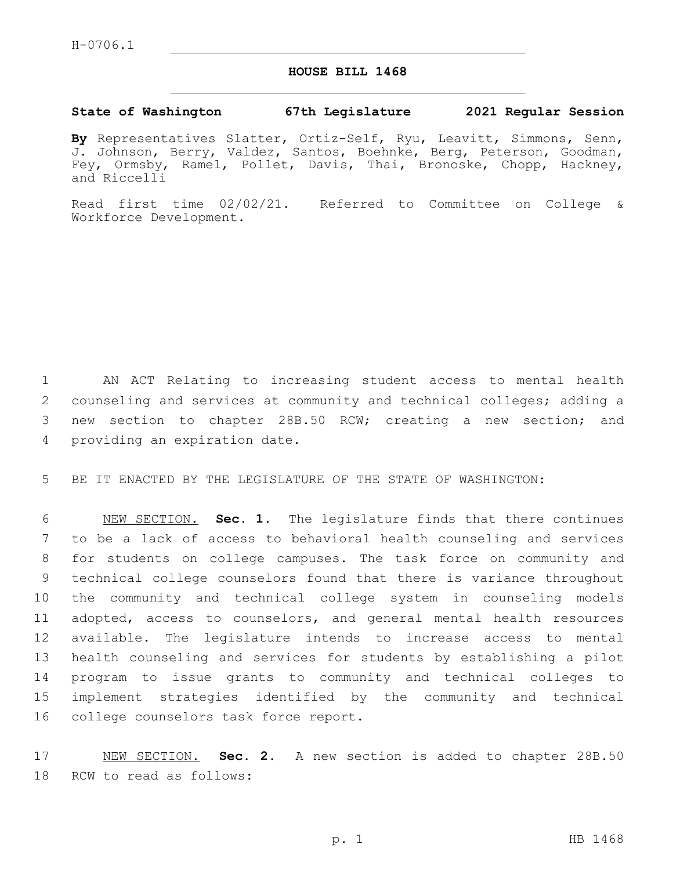## **HOUSE BILL 1468**

## **State of Washington 67th Legislature 2021 Regular Session**

**By** Representatives Slatter, Ortiz-Self, Ryu, Leavitt, Simmons, Senn, J. Johnson, Berry, Valdez, Santos, Boehnke, Berg, Peterson, Goodman, Fey, Ormsby, Ramel, Pollet, Davis, Thai, Bronoske, Chopp, Hackney, and Riccelli

Read first time 02/02/21. Referred to Committee on College & Workforce Development.

 AN ACT Relating to increasing student access to mental health counseling and services at community and technical colleges; adding a new section to chapter 28B.50 RCW; creating a new section; and 4 providing an expiration date.

5 BE IT ENACTED BY THE LEGISLATURE OF THE STATE OF WASHINGTON:

 NEW SECTION. **Sec. 1.** The legislature finds that there continues to be a lack of access to behavioral health counseling and services for students on college campuses. The task force on community and technical college counselors found that there is variance throughout the community and technical college system in counseling models adopted, access to counselors, and general mental health resources available. The legislature intends to increase access to mental health counseling and services for students by establishing a pilot program to issue grants to community and technical colleges to implement strategies identified by the community and technical college counselors task force report.

17 NEW SECTION. **Sec. 2.** A new section is added to chapter 28B.50 18 RCW to read as follows: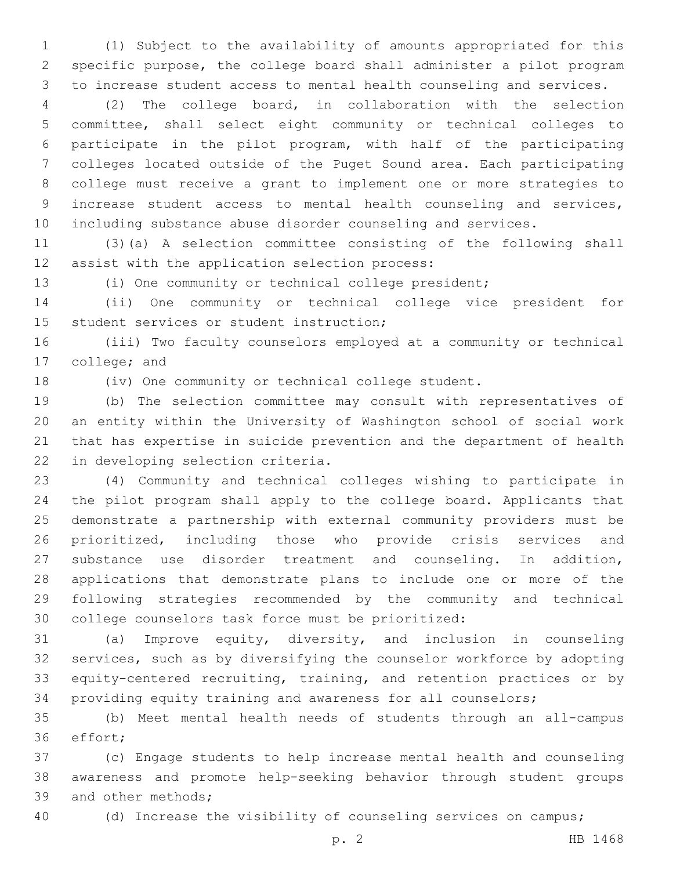(1) Subject to the availability of amounts appropriated for this specific purpose, the college board shall administer a pilot program to increase student access to mental health counseling and services.

 (2) The college board, in collaboration with the selection committee, shall select eight community or technical colleges to participate in the pilot program, with half of the participating colleges located outside of the Puget Sound area. Each participating college must receive a grant to implement one or more strategies to increase student access to mental health counseling and services, including substance abuse disorder counseling and services.

 (3)(a) A selection committee consisting of the following shall 12 assist with the application selection process:

(i) One community or technical college president;

 (ii) One community or technical college vice president for 15 student services or student instruction;

 (iii) Two faculty counselors employed at a community or technical 17 college; and

(iv) One community or technical college student.

 (b) The selection committee may consult with representatives of an entity within the University of Washington school of social work that has expertise in suicide prevention and the department of health 22 in developing selection criteria.

 (4) Community and technical colleges wishing to participate in the pilot program shall apply to the college board. Applicants that demonstrate a partnership with external community providers must be prioritized, including those who provide crisis services and substance use disorder treatment and counseling. In addition, applications that demonstrate plans to include one or more of the following strategies recommended by the community and technical college counselors task force must be prioritized:

 (a) Improve equity, diversity, and inclusion in counseling services, such as by diversifying the counselor workforce by adopting equity-centered recruiting, training, and retention practices or by providing equity training and awareness for all counselors;

 (b) Meet mental health needs of students through an all-campus 36 effort;

 (c) Engage students to help increase mental health and counseling awareness and promote help-seeking behavior through student groups 39 and other methods;

(d) Increase the visibility of counseling services on campus;